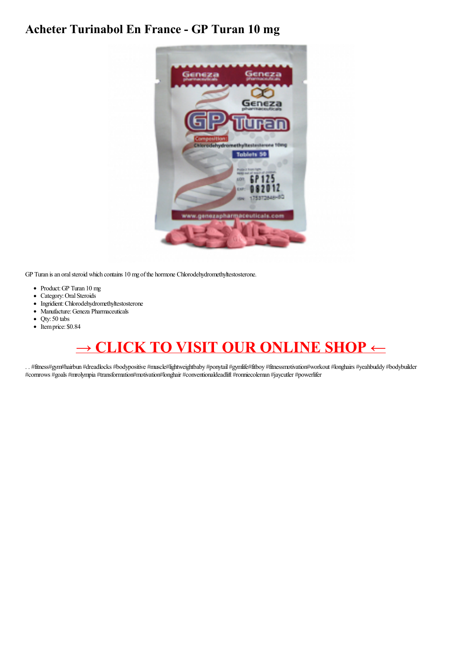## **Acheter Turinabol En France - GP Turan 10 mg**



GP Turan is an oral steroid which contains 10 mg of the hormone Chlorodehydromethyltestosterone.

- Product:GP Turan 10 mg
- Category: Oral Steroids
- Ingridient: Chlorodehydromethyltestosterone
- Manufacture:Geneza Pharmaceuticals
- Qty: 50 tabs
- Itemprice: \$0.84

## **→ CLICK TO VISIT OUR [ONLINE](https://t.co/cbOhOmbgir) SHOP ←**

. . #fitness#gym#hairbun #dreadlocks #bodypositive #muscle#lightweightbaby #ponytail #gymlife#fitboy #fitnessmotivation#workout #longhairs #yeahbuddy #bodybuilder #cornrows #goals #mrolympia #transformation#motivation#longhair #conventionaldeadlift #ronniecoleman #jaycutler #powerlifer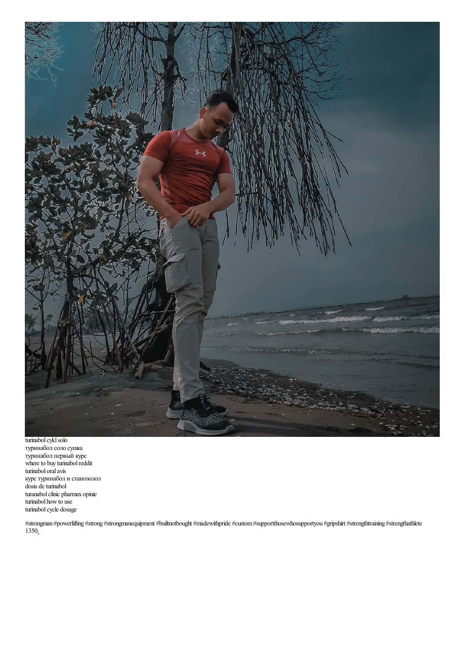

turinabol cykl solo туринабол соло сушка туринабол первый курс where to buy turinabol reddit turinabol oralavis курстуринабол и станозолол dosis de turinabol turanabolclinic pharmax opinie turinabol how to use turinabol cycle dosage

#strongman #powerlifting #strong #strongmanequipment #builtnotbought #madewithpride #custom#supportthosewhosupportyou #gripshirt #strengthtraining #strengthathlete 135[0.](http://turinabol-steroid-buy-online.over-blog.com/2020/10/turinabol-kaufen-schweiz-turinabol-10-mg.html)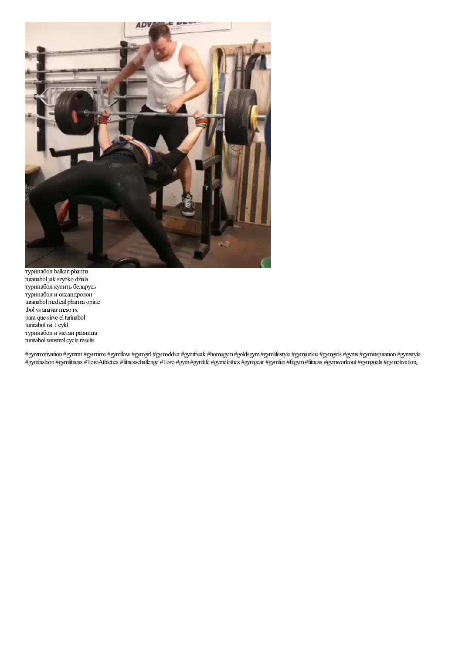

туринабол balkan pharma turanaboljak szybko dziala туринабол купить беларусь туринабол и оксандролон turanabol medical pharma opinie tbol vs anavar meso rx para que sirve el turinabol turinabol na 1 cykl туринабол и метан разница turinabol winstrol cycle results

#gymmotivation #gymrat #gymtime #gymflow#gymgirl #gymaddict #gymfreak #homegym#goldsgym#gymlifestyle #gymjunkie #gymgirls #gyms #gyminspiration #gymstyle #gymfashion #gymfitness #ToroAthletics #fitnesschallenge #Toro #gym#gymlife #gymclothes #gymgear #gymfun #fitgym#fitness #gymworkout #gymgoals #gymotivatio[n.](https://cdn.shopify.com/s/files/1/0508/8903/1840/files/Testosteron_Deca_Masteron_-_Mast_P_100_mg_10_amps_1_ml-html.pdf)